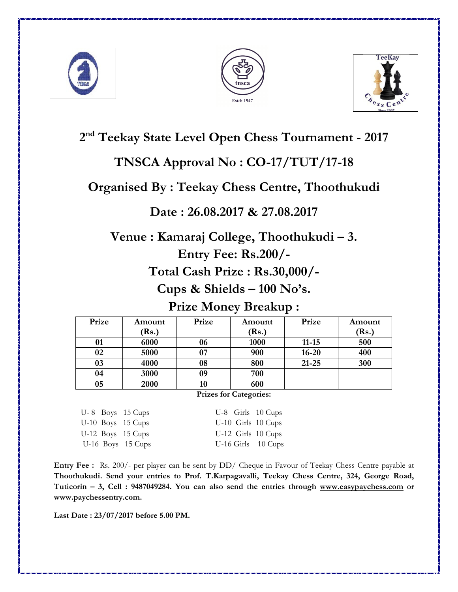





# **2 nd Teekay State Level Open Chess Tournament - 2017**

# **TNSCA Approval No : CO-17/TUT/17-18**

## **Organised By : Teekay Chess Centre, Thoothukudi**

### **Date : 26.08.2017 & 27.08.2017**

**Venue : Kamaraj College, Thoothukudi – 3.** 

**Entry Fee: Rs.200/-** 

**Total Cash Prize : Rs.30,000/-** 

**Cups & Shields – 100 No's.** 

**Prize Money Breakup :** 

| Prize | Amount | Prize | Amount | Prize     | Amount |
|-------|--------|-------|--------|-----------|--------|
|       | (Rs.)  |       | (Rs.)  |           | (Rs.)  |
| 01    | 6000   | 06    | 1000   | $11 - 15$ | 500    |
| 02    | 5000   | 07    | 900    | $16 - 20$ | 400    |
| 03    | 4000   | 08    | 800    | $21 - 25$ | 300    |
| 04    | 3000   | 09    | 700    |           |        |
| 05    | 2000   | 10    | 600    |           |        |

#### **Prizes for Categories:**

U-8 Boys 15 Cups U-8 Girls 10 Cups U-10 Boys 15 Cups U-10 Girls 10 Cups U-12 Boys 15 Cups U-12 Girls 10 Cups

U-16 Boys 15 Cups U-16 Girls 10 Cups

**Entry Fee :** Rs. 200/- per player can be sent by DD/ Cheque in Favour of Teekay Chess Centre payable at **Thoothukudi. Send your entries to Prof. T.Karpagavalli, Teekay Chess Centre, 324, George Road, Tuticorin – 3, Cell : 9487049284. You can also send the entries through www.easypaychess.com or www.paychessentry.com.** 

**Last Date : 23/07/2017 before 5.00 PM.**